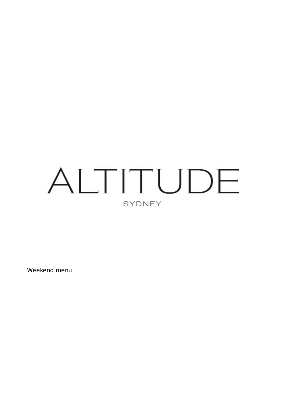# ALTITUDE SYDNEY

Weekend menu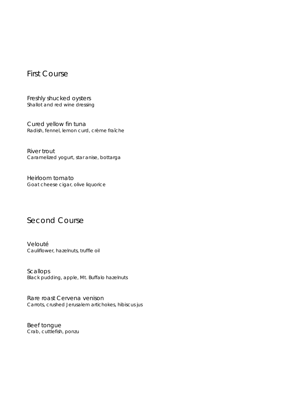# First Course

Freshly shucked oysters *Shallot and red wine dressing*

Cured yellow fin tuna *Radish, fennel, lemon curd, crème fraîche*

River trout *Caramelized yogurt, star anise, bottarga*

Heirloom tomato *Goat cheese cigar, olive liquorice*

### Second Course

Velouté *Cauliflower, hazelnuts, truffle oil*

Scallops *Black pudding, apple, Mt. Buffalo hazelnuts*

Rare roast Cervena venison *Carrots, crushed Jerusalem artichokes, hibiscus jus*

Beef tongue *Crab, cuttlefish, ponzu*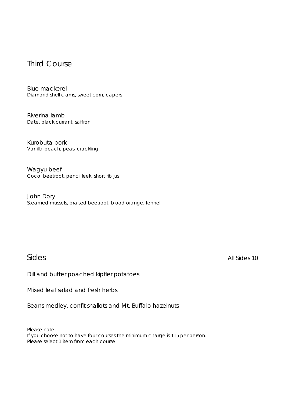#### Third Course

Blue mackerel *Diamond shell clams, sweet corn, capers*

Riverina lamb *Date, black currant, saffron*

Kurobuta pork *Vanilla-peach, peas, crackling*

Wagyu beef *Coco, beetroot, pencil leek, short rib jus*

John Dory *Steamed mussels, braised beetroot, blood orange, fennel*

Sides *All Sides* 10

Dill and butter poached kipfler potatoes

Mixed leaf salad and fresh herbs

Beans medley, confit shallots and Mt. Buffalo hazelnuts

Please note:

If you choose not to have four courses the minimum charge is 115 per person. Please select 1 item from each course.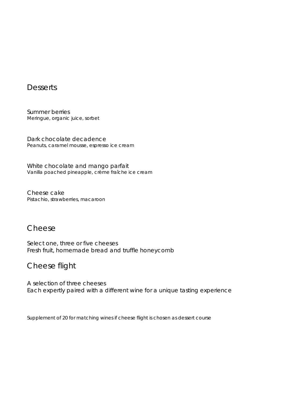#### **Desserts**

Summer berries *Meringue, organic juice, sorbet*

Dark chocolate decadence *Peanuts, caramel mousse, espresso ice cream*

White chocolate and mango parfait *Vanilla poached pineapple, crème fraîche ice cream*

Cheese cake *Pistachio, strawberries, macaroon*

### Cheese

Select one, three or five cheeses Fresh fruit, homemade bread and truffle honeycomb

# Cheese flight

A selection of three cheeses Each expertly paired with a different wine for a unique tasting experience

Supplement of 20 for matching wines if cheese flight is chosen as dessert course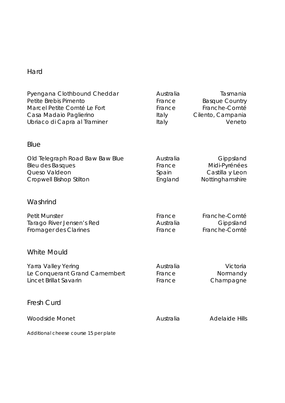# Hard

| Pyengana Clothbound Cheddar<br>Petite Brebis Pimento<br>Marcel Petite Comté Le Fort<br>Casa Madaio Paglierino<br>Ubriaco di Capra al Traminer | Australia<br>France<br>France<br>Italy<br>Italy | Tasmania<br><b>Basque Country</b><br>Franche-Comté<br>Cilento, Campania<br>Veneto |
|-----------------------------------------------------------------------------------------------------------------------------------------------|-------------------------------------------------|-----------------------------------------------------------------------------------|
| Blue                                                                                                                                          |                                                 |                                                                                   |
| Old Telegraph Road Baw Baw Blue<br><b>Bleu des Basques</b><br>Queso Valdeon<br><b>Cropwell Bishop Stilton</b>                                 | Australia<br>France<br>Spain<br>England         | Gippsland<br>Midi-Pyrénées<br>Castilla y Leon<br>Nottinghamshire                  |
| Washrind                                                                                                                                      |                                                 |                                                                                   |
| <b>Petit Munster</b><br>Tarago River Jensen's Red<br>Fromager des Clarines                                                                    | France<br>Australia<br>France                   | Franche-Comté<br>Gippsland<br>Franche-Comté                                       |
| <b>White Mould</b>                                                                                                                            |                                                 |                                                                                   |
| Yarra Valley Yering<br>Le Conquerant Grand Camembert<br>Lincet Brillat Savarin                                                                | Australia<br>France<br>France                   | Victoria<br>Normandy<br>Champagne                                                 |
| <b>Fresh Curd</b>                                                                                                                             |                                                 |                                                                                   |
| <b>Woodside Monet</b>                                                                                                                         | Australia                                       | <b>Adelaide Hills</b>                                                             |
| Additional cheese course 15 per plate                                                                                                         |                                                 |                                                                                   |